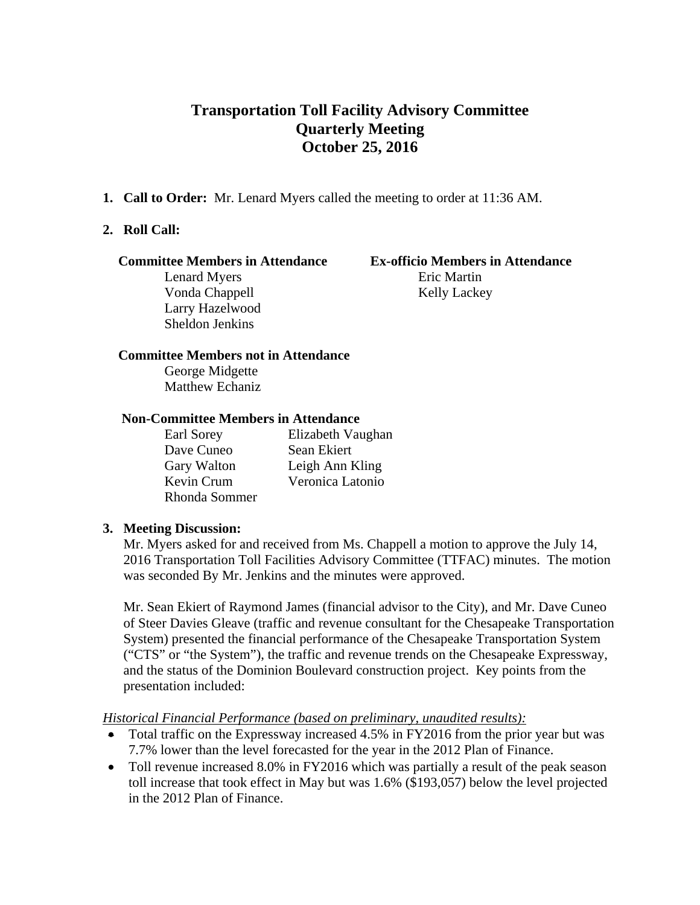# **Transportation Toll Facility Advisory Committee Quarterly Meeting October 25, 2016**

**1. Call to Order:** Mr. Lenard Myers called the meeting to order at 11:36 AM.

#### **2. Roll Call:**

#### **Committee Members in Attendance Ex-officio Members in Attendance**

Lenard Myers Eric Martin Vonda Chappell Kelly Lackey Larry Hazelwood Sheldon Jenkins

#### **Committee Members not in Attendance**

George Midgette Matthew Echaniz

#### **Non-Committee Members in Attendance**

| Earl Sorey    | Elizabeth Vaughan |
|---------------|-------------------|
| Dave Cuneo    | Sean Ekiert       |
| Gary Walton   | Leigh Ann Kling   |
| Kevin Crum    | Veronica Latonio  |
| Rhonda Sommer |                   |

#### **3. Meeting Discussion:**

Mr. Myers asked for and received from Ms. Chappell a motion to approve the July 14, 2016 Transportation Toll Facilities Advisory Committee (TTFAC) minutes. The motion was seconded By Mr. Jenkins and the minutes were approved.

Mr. Sean Ekiert of Raymond James (financial advisor to the City), and Mr. Dave Cuneo of Steer Davies Gleave (traffic and revenue consultant for the Chesapeake Transportation System) presented the financial performance of the Chesapeake Transportation System ("CTS" or "the System"), the traffic and revenue trends on the Chesapeake Expressway, and the status of the Dominion Boulevard construction project. Key points from the presentation included:

#### *Historical Financial Performance (based on preliminary, unaudited results):*

- Total traffic on the Expressway increased 4.5% in FY2016 from the prior year but was 7.7% lower than the level forecasted for the year in the 2012 Plan of Finance.
- Toll revenue increased 8.0% in FY2016 which was partially a result of the peak season toll increase that took effect in May but was 1.6% (\$193,057) below the level projected in the 2012 Plan of Finance.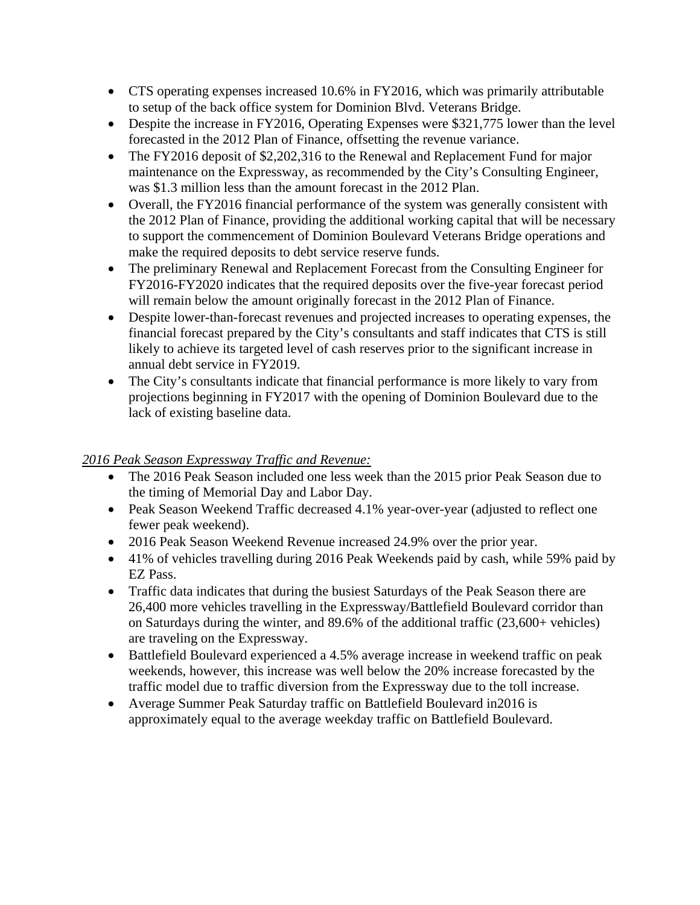- CTS operating expenses increased 10.6% in FY2016, which was primarily attributable to setup of the back office system for Dominion Blvd. Veterans Bridge.
- Despite the increase in FY2016, Operating Expenses were \$321,775 lower than the level forecasted in the 2012 Plan of Finance, offsetting the revenue variance.
- The FY2016 deposit of \$2,202,316 to the Renewal and Replacement Fund for major maintenance on the Expressway, as recommended by the City's Consulting Engineer, was \$1.3 million less than the amount forecast in the 2012 Plan.
- Overall, the FY2016 financial performance of the system was generally consistent with the 2012 Plan of Finance, providing the additional working capital that will be necessary to support the commencement of Dominion Boulevard Veterans Bridge operations and make the required deposits to debt service reserve funds.
- The preliminary Renewal and Replacement Forecast from the Consulting Engineer for FY2016-FY2020 indicates that the required deposits over the five-year forecast period will remain below the amount originally forecast in the 2012 Plan of Finance.
- Despite lower-than-forecast revenues and projected increases to operating expenses, the financial forecast prepared by the City's consultants and staff indicates that CTS is still likely to achieve its targeted level of cash reserves prior to the significant increase in annual debt service in FY2019.
- The City's consultants indicate that financial performance is more likely to vary from projections beginning in FY2017 with the opening of Dominion Boulevard due to the lack of existing baseline data.

### *2016 Peak Season Expressway Traffic and Revenue:*

- The 2016 Peak Season included one less week than the 2015 prior Peak Season due to the timing of Memorial Day and Labor Day.
- Peak Season Weekend Traffic decreased 4.1% year-over-year (adjusted to reflect one fewer peak weekend).
- 2016 Peak Season Weekend Revenue increased 24.9% over the prior year.
- 41% of vehicles travelling during 2016 Peak Weekends paid by cash, while 59% paid by EZ Pass.
- Traffic data indicates that during the busiest Saturdays of the Peak Season there are 26,400 more vehicles travelling in the Expressway/Battlefield Boulevard corridor than on Saturdays during the winter, and 89.6% of the additional traffic (23,600+ vehicles) are traveling on the Expressway.
- Battlefield Boulevard experienced a 4.5% average increase in weekend traffic on peak weekends, however, this increase was well below the 20% increase forecasted by the traffic model due to traffic diversion from the Expressway due to the toll increase.
- Average Summer Peak Saturday traffic on Battlefield Boulevard in2016 is approximately equal to the average weekday traffic on Battlefield Boulevard.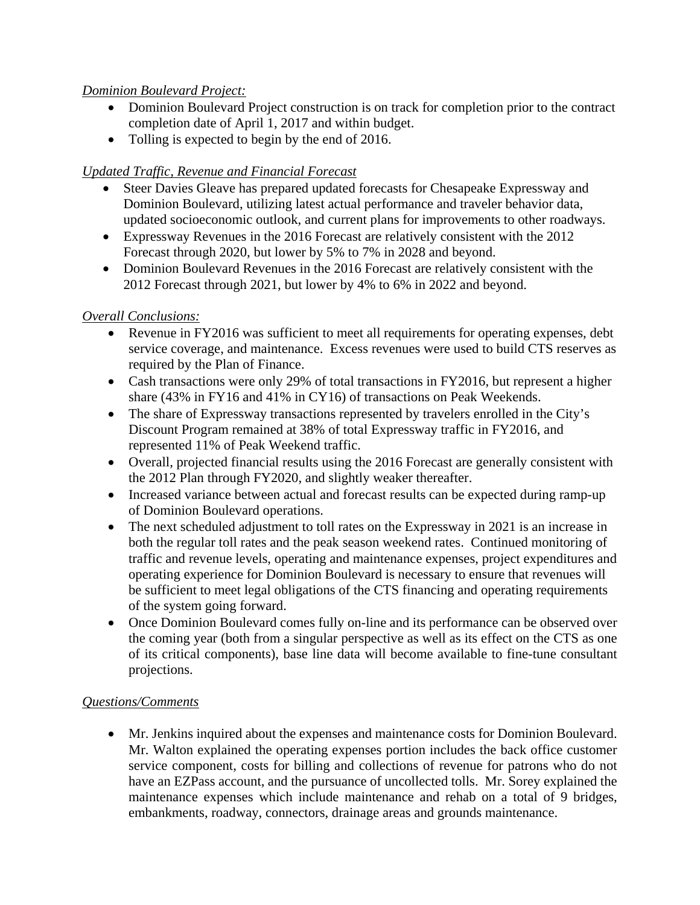# *Dominion Boulevard Project:*

- Dominion Boulevard Project construction is on track for completion prior to the contract completion date of April 1, 2017 and within budget.
- Tolling is expected to begin by the end of 2016.

# *Updated Traffic, Revenue and Financial Forecast*

- Steer Davies Gleave has prepared updated forecasts for Chesapeake Expressway and Dominion Boulevard, utilizing latest actual performance and traveler behavior data, updated socioeconomic outlook, and current plans for improvements to other roadways.
- Expressway Revenues in the 2016 Forecast are relatively consistent with the 2012 Forecast through 2020, but lower by 5% to 7% in 2028 and beyond.
- Dominion Boulevard Revenues in the 2016 Forecast are relatively consistent with the 2012 Forecast through 2021, but lower by 4% to 6% in 2022 and beyond.

# *Overall Conclusions:*

- Revenue in FY2016 was sufficient to meet all requirements for operating expenses, debt service coverage, and maintenance. Excess revenues were used to build CTS reserves as required by the Plan of Finance.
- Cash transactions were only 29% of total transactions in FY2016, but represent a higher share (43% in FY16 and 41% in CY16) of transactions on Peak Weekends.
- The share of Expressway transactions represented by travelers enrolled in the City's Discount Program remained at 38% of total Expressway traffic in FY2016, and represented 11% of Peak Weekend traffic.
- Overall, projected financial results using the 2016 Forecast are generally consistent with the 2012 Plan through FY2020, and slightly weaker thereafter.
- Increased variance between actual and forecast results can be expected during ramp-up of Dominion Boulevard operations.
- The next scheduled adjustment to toll rates on the Expressway in 2021 is an increase in both the regular toll rates and the peak season weekend rates. Continued monitoring of traffic and revenue levels, operating and maintenance expenses, project expenditures and operating experience for Dominion Boulevard is necessary to ensure that revenues will be sufficient to meet legal obligations of the CTS financing and operating requirements of the system going forward.
- Once Dominion Boulevard comes fully on-line and its performance can be observed over the coming year (both from a singular perspective as well as its effect on the CTS as one of its critical components), base line data will become available to fine-tune consultant projections.

#### *Questions/Comments*

 Mr. Jenkins inquired about the expenses and maintenance costs for Dominion Boulevard. Mr. Walton explained the operating expenses portion includes the back office customer service component, costs for billing and collections of revenue for patrons who do not have an EZPass account, and the pursuance of uncollected tolls. Mr. Sorey explained the maintenance expenses which include maintenance and rehab on a total of 9 bridges, embankments, roadway, connectors, drainage areas and grounds maintenance.